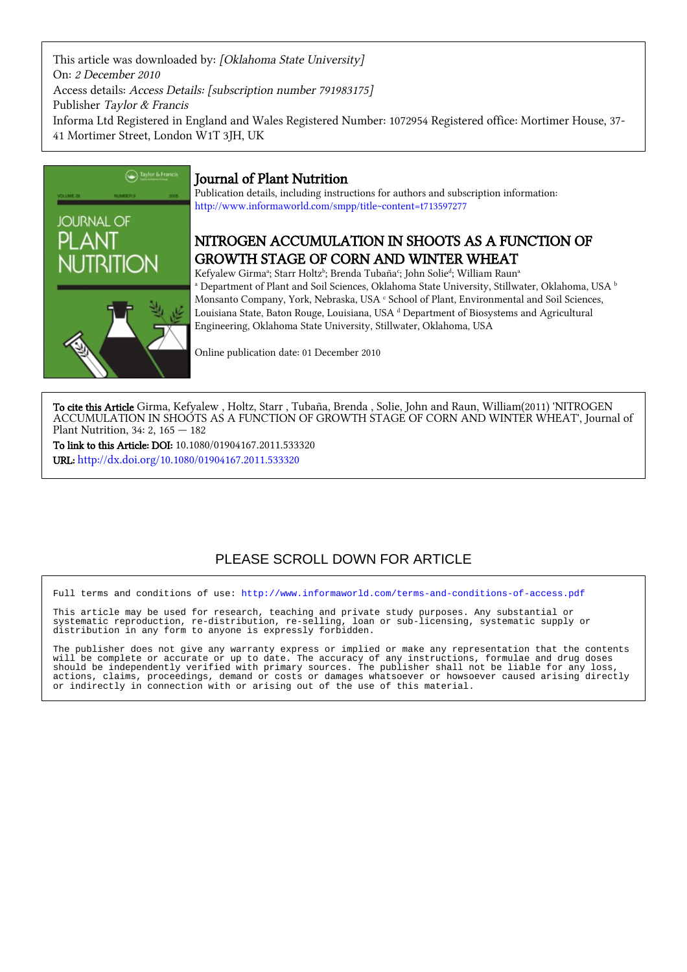This article was downloaded by: [Oklahoma State University] On: 2 December 2010 Access details: Access Details: [subscription number 791983175] Publisher Taylor & Francis Informa Ltd Registered in England and Wales Registered Number: 1072954 Registered office: Mortimer House, 37- 41 Mortimer Street, London W1T 3JH, UK



## Journal of Plant Nutrition

Publication details, including instructions for authors and subscription information: <http://www.informaworld.com/smpp/title~content=t713597277>

# NITROGEN ACCUMULATION IN SHOOTS AS A FUNCTION OF GROWTH STAGE OF CORN AND WINTER WHEAT

Kefyalew Girmaª; Starr Holtzʰ; Brenda Tubaña<sup>c</sup>; John Solie<sup>d</sup>; William Raunª  $^\text{a}$  Department of Plant and Soil Sciences, Oklahoma State University, Stillwater, Oklahoma, USA  $^\text{b}$ Monsanto Company, York, Nebraska, USA <sup>c</sup> School of Plant, Environmental and Soil Sciences, Louisiana State, Baton Rouge, Louisiana, USA dDepartment of Biosystems and Agricultural Engineering, Oklahoma State University, Stillwater, Oklahoma, USA

Online publication date: 01 December 2010

To cite this Article Girma, Kefyalew , Holtz, Starr , Tubaña, Brenda , Solie, John and Raun, William(2011) 'NITROGEN ACCUMULATION IN SHOOTS AS A FUNCTION OF GROWTH STAGE OF CORN AND WINTER WHEAT', Journal of Plant Nutrition, 34: 2, 165 — 182

To link to this Article: DOI: 10.1080/01904167.2011.533320 URL: <http://dx.doi.org/10.1080/01904167.2011.533320>

# PLEASE SCROLL DOWN FOR ARTICLE

Full terms and conditions of use:<http://www.informaworld.com/terms-and-conditions-of-access.pdf>

This article may be used for research, teaching and private study purposes. Any substantial or systematic reproduction, re-distribution, re-selling, loan or sub-licensing, systematic supply or distribution in any form to anyone is expressly forbidden.

The publisher does not give any warranty express or implied or make any representation that the contents will be complete or accurate or up to date. The accuracy of any instructions, formulae and drug doses should be independently verified with primary sources. The publisher shall not be liable for any loss, actions, claims, proceedings, demand or costs or damages whatsoever or howsoever caused arising directly or indirectly in connection with or arising out of the use of this material.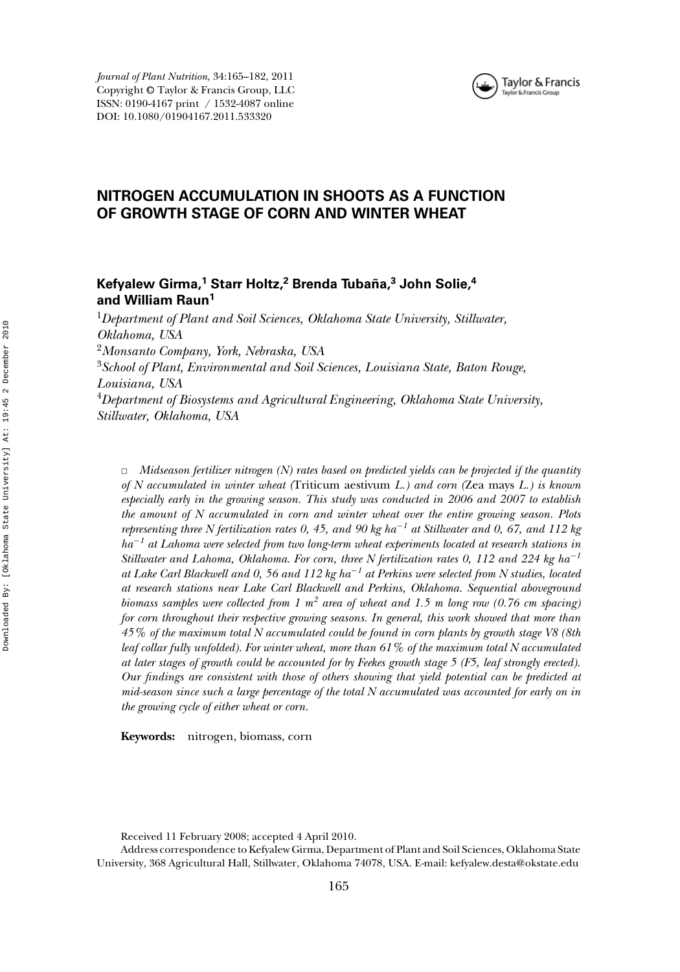

*Journal of Plant Nutrition*, 34:165–182, 2011 Copyright <sup>C</sup> Taylor & Francis Group, LLC ISSN: 0190-4167 print / 1532-4087 online DOI: 10.1080/01904167.2011.533320

## **NITROGEN ACCUMULATION IN SHOOTS AS A FUNCTION OF GROWTH STAGE OF CORN AND WINTER WHEAT**

## **Kefyalew Girma,<sup>1</sup> Starr Holtz,<sup>2</sup> Brenda Tubana, ˜ <sup>3</sup> John Solie,<sup>4</sup> and William Raun1**

<sup>1</sup>*Department of Plant and Soil Sciences, Oklahoma State University, Stillwater, Oklahoma, USA*

<sup>2</sup>*Monsanto Company, York, Nebraska, USA*

<sup>3</sup>*School of Plant, Environmental and Soil Sciences, Louisiana State, Baton Rouge, Louisiana, USA*

<sup>4</sup>*Department of Biosystems and Agricultural Engineering, Oklahoma State University, Stillwater, Oklahoma, USA*

✷ *Midseason fertilizer nitrogen (N) rates based on predicted yields can be projected if the quantity of N accumulated in winter wheat (*Triticum aestivum *L.) and corn (*Zea mays *L.) is known especially early in the growing season. This study was conducted in 2006 and 2007 to establish the amount of N accumulated in corn and winter wheat over the entire growing season. Plots representing three N fertilization rates 0, 45, and 90 kg ha*−*<sup>1</sup> at Stillwater and 0, 67, and 112 kg ha*−*<sup>1</sup> at Lahoma were selected from two long-term wheat experiments located at research stations in Stillwater and Lahoma, Oklahoma. For corn, three N fertilization rates 0, 112 and 224 kg ha*−*<sup>1</sup> at Lake Carl Blackwell and 0, 56 and 112 kg ha*−*<sup>1</sup> at Perkins were selected from N studies, located at research stations near Lake Carl Blackwell and Perkins, Oklahoma. Sequential aboveground biomass samples were collected from 1 m<sup>2</sup> area of wheat and 1.5 m long row (0.76 cm spacing) for corn throughout their respective growing seasons. In general, this work showed that more than 45% of the maximum total N accumulated could be found in corn plants by growth stage V8 (8th leaf collar fully unfolded). For winter wheat, more than 61% of the maximum total N accumulated at later stages of growth could be accounted for by Feekes growth stage 5 (F5, leaf strongly erected). Our findings are consistent with those of others showing that yield potential can be predicted at mid-season since such a large percentage of the total N accumulated was accounted for early on in the growing cycle of either wheat or corn.*

**Keywords:** nitrogen, biomass, corn

Received 11 February 2008; accepted 4 April 2010.

Address correspondence to Kefyalew Girma, Department of Plant and Soil Sciences, Oklahoma State University, 368 Agricultural Hall, Stillwater, Oklahoma 74078, USA. E-mail: kefyalew.desta@okstate.edu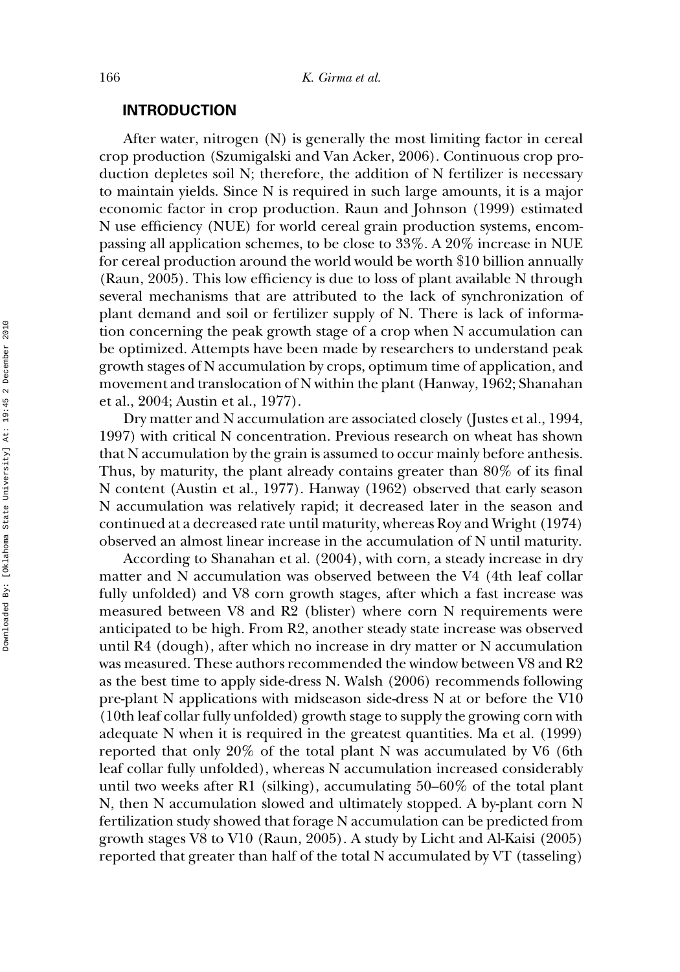#### **INTRODUCTION**

After water, nitrogen (N) is generally the most limiting factor in cereal crop production (Szumigalski and Van Acker, 2006). Continuous crop production depletes soil N; therefore, the addition of N fertilizer is necessary to maintain yields. Since N is required in such large amounts, it is a major economic factor in crop production. Raun and Johnson (1999) estimated N use efficiency (NUE) for world cereal grain production systems, encompassing all application schemes, to be close to 33%. A 20% increase in NUE for cereal production around the world would be worth \$10 billion annually (Raun, 2005). This low efficiency is due to loss of plant available N through several mechanisms that are attributed to the lack of synchronization of plant demand and soil or fertilizer supply of N. There is lack of information concerning the peak growth stage of a crop when N accumulation can be optimized. Attempts have been made by researchers to understand peak growth stages of N accumulation by crops, optimum time of application, and movement and translocation of N within the plant (Hanway, 1962; Shanahan et al., 2004; Austin et al., 1977).

Dry matter and N accumulation are associated closely (Justes et al., 1994, 1997) with critical N concentration. Previous research on wheat has shown that N accumulation by the grain is assumed to occur mainly before anthesis. Thus, by maturity, the plant already contains greater than 80% of its final N content (Austin et al., 1977). Hanway (1962) observed that early season N accumulation was relatively rapid; it decreased later in the season and continued at a decreased rate until maturity, whereas Roy and Wright (1974) observed an almost linear increase in the accumulation of N until maturity.

According to Shanahan et al. (2004), with corn, a steady increase in dry matter and N accumulation was observed between the V4 (4th leaf collar fully unfolded) and V8 corn growth stages, after which a fast increase was measured between V8 and R2 (blister) where corn N requirements were anticipated to be high. From R2, another steady state increase was observed until R4 (dough), after which no increase in dry matter or N accumulation was measured. These authors recommended the window between V8 and R2 as the best time to apply side-dress N. Walsh (2006) recommends following pre-plant N applications with midseason side-dress N at or before the V10 (10th leaf collar fully unfolded) growth stage to supply the growing corn with adequate N when it is required in the greatest quantities. Ma et al. (1999) reported that only 20% of the total plant N was accumulated by V6 (6th leaf collar fully unfolded), whereas N accumulation increased considerably until two weeks after R1 (silking), accumulating 50–60% of the total plant N, then N accumulation slowed and ultimately stopped. A by-plant corn N fertilization study showed that forage N accumulation can be predicted from growth stages V8 to V10 (Raun, 2005). A study by Licht and Al-Kaisi (2005) reported that greater than half of the total N accumulated by VT (tasseling)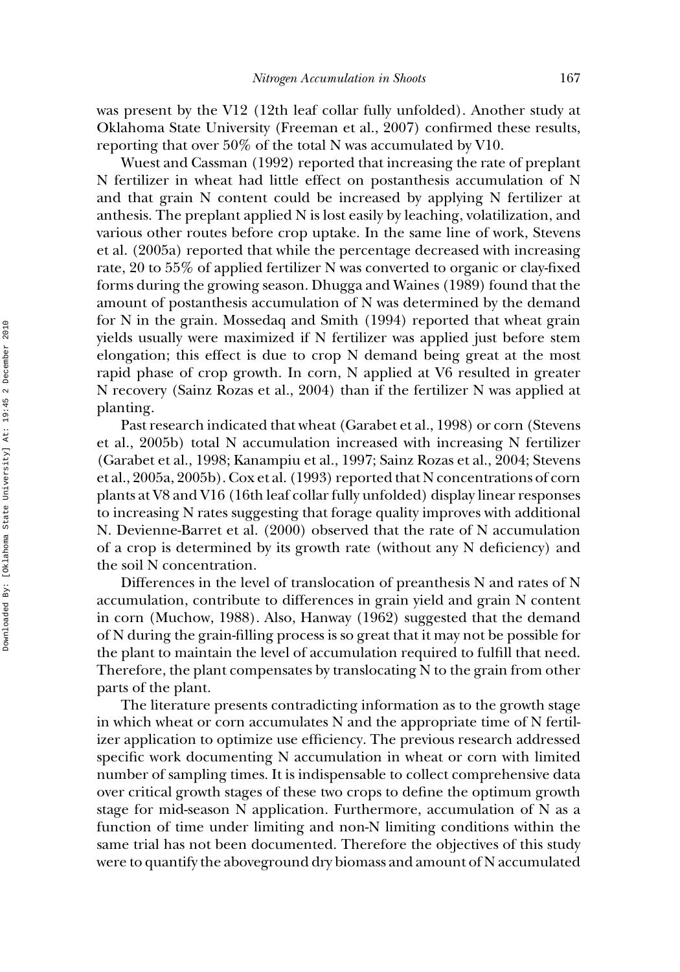was present by the V12 (12th leaf collar fully unfolded). Another study at Oklahoma State University (Freeman et al., 2007) confirmed these results, reporting that over 50% of the total N was accumulated by V10.

Wuest and Cassman (1992) reported that increasing the rate of preplant N fertilizer in wheat had little effect on postanthesis accumulation of N and that grain N content could be increased by applying N fertilizer at anthesis. The preplant applied N is lost easily by leaching, volatilization, and various other routes before crop uptake. In the same line of work, Stevens et al. (2005a) reported that while the percentage decreased with increasing rate, 20 to 55% of applied fertilizer N was converted to organic or clay-fixed forms during the growing season. Dhugga and Waines (1989) found that the amount of postanthesis accumulation of N was determined by the demand for N in the grain. Mossedaq and Smith (1994) reported that wheat grain yields usually were maximized if N fertilizer was applied just before stem elongation; this effect is due to crop N demand being great at the most rapid phase of crop growth. In corn, N applied at V6 resulted in greater N recovery (Sainz Rozas et al., 2004) than if the fertilizer N was applied at planting.

Past research indicated that wheat (Garabet et al., 1998) or corn (Stevens et al., 2005b) total N accumulation increased with increasing N fertilizer (Garabet et al., 1998; Kanampiu et al., 1997; Sainz Rozas et al., 2004; Stevens et al., 2005a, 2005b). Cox et al. (1993) reported that N concentrations of corn plants at V8 and V16 (16th leaf collar fully unfolded) display linear responses to increasing N rates suggesting that forage quality improves with additional N. Devienne-Barret et al. (2000) observed that the rate of N accumulation of a crop is determined by its growth rate (without any N deficiency) and the soil N concentration.

Differences in the level of translocation of preanthesis N and rates of N accumulation, contribute to differences in grain yield and grain N content in corn (Muchow, 1988). Also, Hanway (1962) suggested that the demand of N during the grain-filling process is so great that it may not be possible for the plant to maintain the level of accumulation required to fulfill that need. Therefore, the plant compensates by translocating N to the grain from other parts of the plant.

The literature presents contradicting information as to the growth stage in which wheat or corn accumulates N and the appropriate time of N fertilizer application to optimize use efficiency. The previous research addressed specific work documenting N accumulation in wheat or corn with limited number of sampling times. It is indispensable to collect comprehensive data over critical growth stages of these two crops to define the optimum growth stage for mid-season N application. Furthermore, accumulation of N as a function of time under limiting and non-N limiting conditions within the same trial has not been documented. Therefore the objectives of this study were to quantify the aboveground dry biomass and amount of N accumulated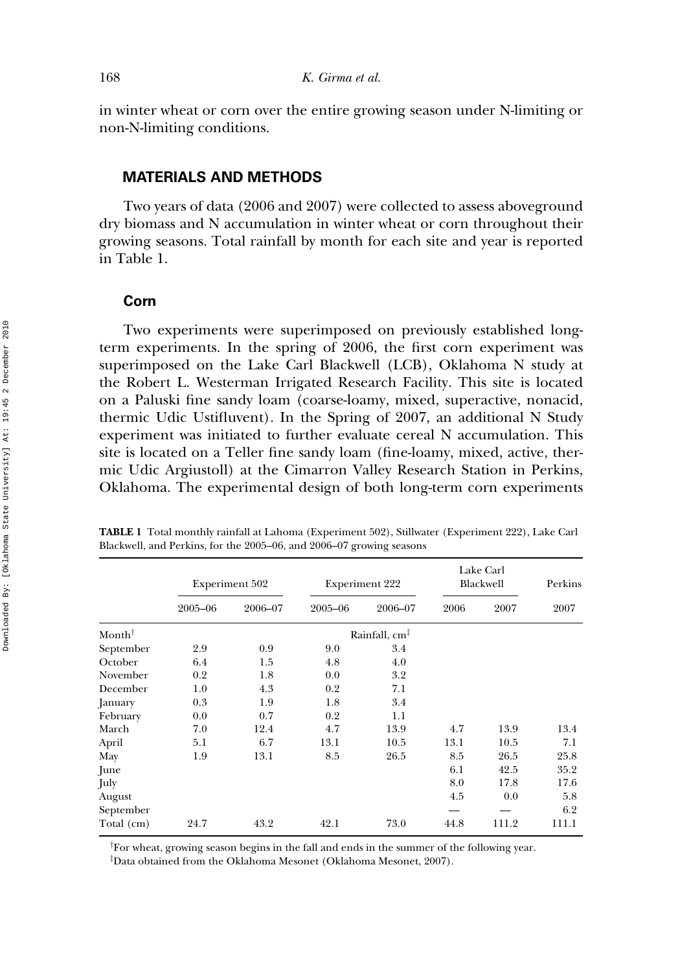in winter wheat or corn over the entire growing season under N-limiting or non-N-limiting conditions.

## **MATERIALS AND METHODS**

Two years of data (2006 and 2007) were collected to assess aboveground dry biomass and N accumulation in winter wheat or corn throughout their growing seasons. Total rainfall by month for each site and year is reported in Table 1.

#### **Corn**

Two experiments were superimposed on previously established longterm experiments. In the spring of 2006, the first corn experiment was superimposed on the Lake Carl Blackwell (LCB), Oklahoma N study at the Robert L. Westerman Irrigated Research Facility. This site is located on a Paluski fine sandy loam (coarse-loamy, mixed, superactive, nonacid, thermic Udic Ustifluvent). In the Spring of 2007, an additional N Study experiment was initiated to further evaluate cereal N accumulation. This site is located on a Teller fine sandy loam (fine-loamy, mixed, active, thermic Udic Argiustoll) at the Cimarron Valley Research Station in Perkins, Oklahoma. The experimental design of both long-term corn experiments

|                   |         | <b>Experiment 502</b> |         | <b>Experiment 222</b>     | Lake Carl<br>Blackwell | Perkins |       |
|-------------------|---------|-----------------------|---------|---------------------------|------------------------|---------|-------|
|                   | 2005-06 | 2006-07               | 2005-06 | 2006-07                   | 2006                   | 2007    | 2007  |
| $Month^{\dagger}$ |         |                       |         | Rainfall, cm <sup>1</sup> |                        |         |       |
| September         | 2.9     | 0.9                   | 9.0     | 3.4                       |                        |         |       |
| October           | 6.4     | 1.5                   | 4.8     | 4.0                       |                        |         |       |
| November          | 0.2     | 1.8                   | 0.0     | 3.2                       |                        |         |       |
| December          | 1.0     | 4.3                   | 0.2     | 7.1                       |                        |         |       |
| January           | 0.3     | 1.9                   | 1.8     | 3.4                       |                        |         |       |
| February          | 0.0     | 0.7                   | 0.2     | 1.1                       |                        |         |       |
| March             | 7.0     | 12.4                  | 4.7     | 13.9                      | 4.7                    | 13.9    | 13.4  |
| April             | 5.1     | 6.7                   | 13.1    | 10.5                      | 13.1                   | 10.5    | 7.1   |
| May               | 1.9     | 13.1                  | 8.5     | 26.5                      | 8.5                    | 26.5    | 25.8  |
| June              |         |                       |         |                           | 6.1                    | 42.5    | 35.2  |
| July              |         |                       |         |                           | 8.0                    | 17.8    | 17.6  |
| August            |         |                       |         |                           | 4.5                    | 0.0     | 5.8   |
| September         |         |                       |         |                           |                        |         | 6.2   |
| Total (cm)        | 24.7    | 43.2                  | 42.1    | 73.0                      | 44.8                   | 111.2   | 111.1 |

**TABLE 1** Total monthly rainfall at Lahoma (Experiment 502), Stillwater (Experiment 222), Lake Carl Blackwell, and Perkins, for the 2005–06, and 2006–07 growing seasons

† For wheat, growing season begins in the fall and ends in the summer of the following year.

‡ Data obtained from the Oklahoma Mesonet (Oklahoma Mesonet, 2007).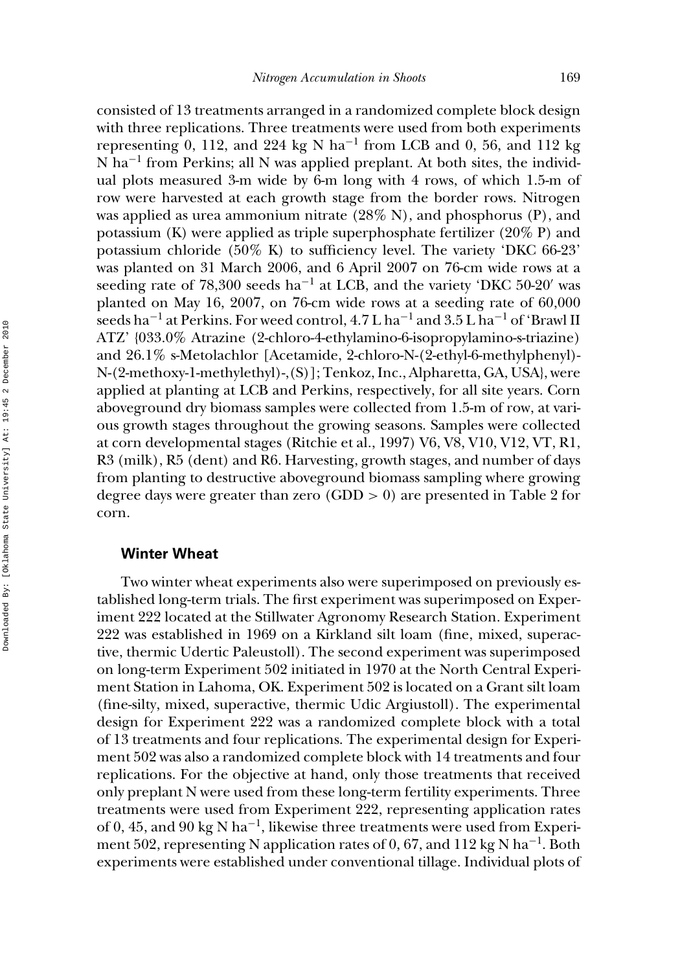consisted of 13 treatments arranged in a randomized complete block design with three replications. Three treatments were used from both experiments representing 0, 112, and 224 kg N ha−<sup>1</sup> from LCB and 0, 56, and 112 kg N ha<sup>-1</sup> from Perkins; all N was applied preplant. At both sites, the individual plots measured 3-m wide by 6-m long with 4 rows, of which 1.5-m of row were harvested at each growth stage from the border rows. Nitrogen was applied as urea ammonium nitrate  $(28\% N)$ , and phosphorus  $(P)$ , and potassium (K) were applied as triple superphosphate fertilizer (20% P) and potassium chloride (50% K) to sufficiency level. The variety 'DKC 66-23' was planted on 31 March 2006, and 6 April 2007 on 76-cm wide rows at a seeding rate of 78,300 seeds ha<sup>-1</sup> at LCB, and the variety 'DKC 50-20' was planted on May 16, 2007, on 76-cm wide rows at a seeding rate of 60,000 seeds ha<sup>-1</sup> at Perkins. For weed control,  $4.7 L$  ha<sup>-1</sup> and  $3.5 L$  ha<sup>-1</sup> of 'Brawl II ATZ' {033.0% Atrazine (2-chloro-4-ethylamino-6-isopropylamino-s-triazine) and 26.1% s-Metolachlor [Acetamide, 2-chloro-N-(2-ethyl-6-methylphenyl)- N-(2-methoxy-1-methylethyl)-,(S)]; Tenkoz, Inc., Alpharetta, GA, USA}, were applied at planting at LCB and Perkins, respectively, for all site years. Corn aboveground dry biomass samples were collected from 1.5-m of row, at various growth stages throughout the growing seasons. Samples were collected at corn developmental stages (Ritchie et al., 1997) V6, V8, V10, V12, VT, R1, R3 (milk), R5 (dent) and R6. Harvesting, growth stages, and number of days from planting to destructive aboveground biomass sampling where growing degree days were greater than zero  $(GDD > 0)$  are presented in Table 2 for corn.

#### **Winter Wheat**

Two winter wheat experiments also were superimposed on previously established long-term trials. The first experiment was superimposed on Experiment 222 located at the Stillwater Agronomy Research Station. Experiment 222 was established in 1969 on a Kirkland silt loam (fine, mixed, superactive, thermic Udertic Paleustoll). The second experiment was superimposed on long-term Experiment 502 initiated in 1970 at the North Central Experiment Station in Lahoma, OK. Experiment 502 is located on a Grant silt loam (fine-silty, mixed, superactive, thermic Udic Argiustoll). The experimental design for Experiment 222 was a randomized complete block with a total of 13 treatments and four replications. The experimental design for Experiment 502 was also a randomized complete block with 14 treatments and four replications. For the objective at hand, only those treatments that received only preplant N were used from these long-term fertility experiments. Three treatments were used from Experiment 222, representing application rates of 0, 45, and 90 kg N ha<sup>-1</sup>, likewise three treatments were used from Experiment 502, representing N application rates of 0, 67, and 112 kg N ha<sup>-1</sup>. Both experiments were established under conventional tillage. Individual plots of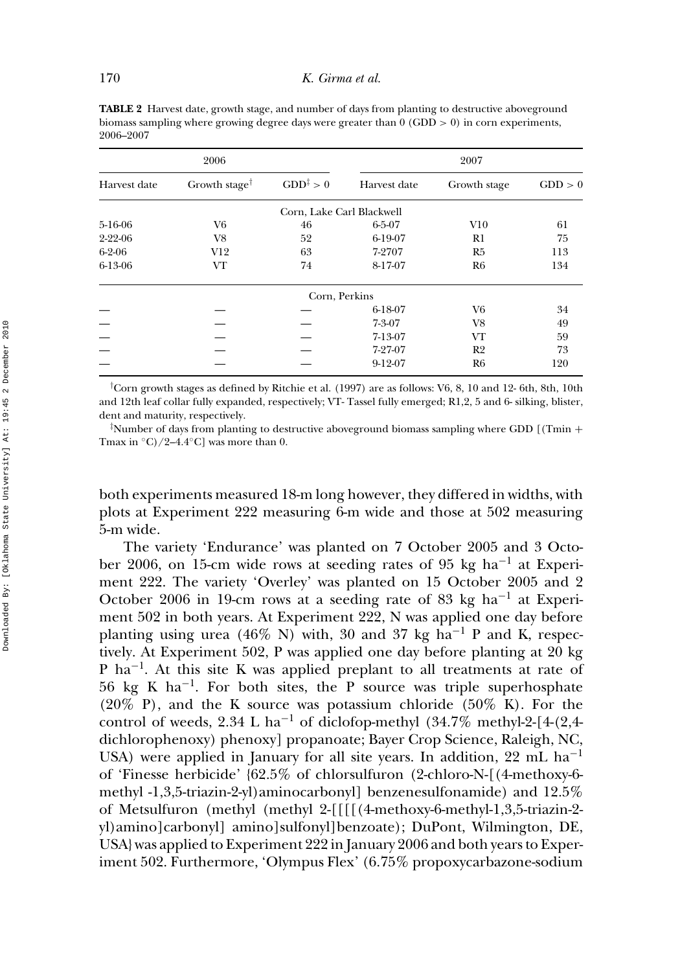**TABLE 2** Harvest date, growth stage, and number of days from planting to destructive aboveground biomass sampling where growing degree days were greater than  $0$  (GDD  $> 0$ ) in corn experiments, 2006–2007

|              | 2006                                         |                           | 2007         |                |         |  |  |  |  |  |
|--------------|----------------------------------------------|---------------------------|--------------|----------------|---------|--|--|--|--|--|
| Harvest date | Growth stage <sup><math>\dagger</math></sup> | $GDD^{\ddagger} > 0$      | Harvest date | Growth stage   | GDD > 0 |  |  |  |  |  |
|              |                                              | Corn, Lake Carl Blackwell |              |                |         |  |  |  |  |  |
| 5-16-06      | V6                                           | 46                        | $6 - 5 - 07$ | V10            | 61      |  |  |  |  |  |
| 2-22-06      | V8                                           | 52                        | 6-19-07      | R1             | 75      |  |  |  |  |  |
| $6 - 2 - 06$ | V12                                          | 63                        | 7-2707       | R5             | 113     |  |  |  |  |  |
| 6-13-06      | VT                                           | 74                        | 8-17-07      | R <sub>6</sub> | 134     |  |  |  |  |  |
|              |                                              | Corn, Perkins             |              |                |         |  |  |  |  |  |
|              |                                              |                           | 6-18-07      | V6             | 34      |  |  |  |  |  |
|              |                                              |                           | $7 - 3 - 07$ | V8             | 49      |  |  |  |  |  |
|              |                                              |                           | 7-13-07      | VT             | 59      |  |  |  |  |  |
|              |                                              |                           | 7-27-07      | R <sub>2</sub> | 73      |  |  |  |  |  |
|              |                                              |                           | 9-12-07      | R <sub>6</sub> | 120     |  |  |  |  |  |

† Corn growth stages as defined by Ritchie et al. (1997) are as follows: V6, 8, 10 and 12- 6th, 8th, 10th and 12th leaf collar fully expanded, respectively; VT- Tassel fully emerged; R1,2, 5 and 6- silking, blister, dent and maturity, respectively.

 $\frac{1}{4}$ Number of days from planting to destructive aboveground biomass sampling where GDD [(Tmin + Tmax in  $\mathrm{^{\circ}C}/2$ –4.4 $\mathrm{^{\circ}C}$  was more than 0.

both experiments measured 18-m long however, they differed in widths, with plots at Experiment 222 measuring 6-m wide and those at 502 measuring 5-m wide.

The variety 'Endurance' was planted on 7 October 2005 and 3 October 2006, on 15-cm wide rows at seeding rates of 95 kg ha−<sup>1</sup> at Experiment 222. The variety 'Overley' was planted on 15 October 2005 and 2 October 2006 in 19-cm rows at a seeding rate of 83 kg ha<sup>-1</sup> at Experiment 502 in both years. At Experiment 222, N was applied one day before planting using urea (46% N) with, 30 and 37 kg ha<sup>-1</sup> P and K, respectively. At Experiment 502, P was applied one day before planting at 20 kg P ha<sup>-1</sup>. At this site K was applied preplant to all treatments at rate of 56 kg K ha<sup>-1</sup>. For both sites, the P source was triple superhosphate (20% P), and the K source was potassium chloride (50% K). For the control of weeds, 2.34 L ha<sup>-1</sup> of diclofop-methyl (34.7% methyl-2-[4-(2,4dichlorophenoxy) phenoxy] propanoate; Bayer Crop Science, Raleigh, NC, USA) were applied in January for all site years. In addition, 22 mL ha<sup>-1</sup> of 'Finesse herbicide' {62.5% of chlorsulfuron (2-chloro-N-[(4-methoxy-6 methyl -1,3,5-triazin-2-yl)aminocarbonyl] benzenesulfonamide) and 12.5% of Metsulfuron (methyl (methyl 2-[[[[(4-methoxy-6-methyl-1,3,5-triazin-2 yl)amino]carbonyl] amino]sulfonyl]benzoate); DuPont, Wilmington, DE, USA} was applied to Experiment 222 in January 2006 and both years to Experiment 502. Furthermore, 'Olympus Flex' (6.75% propoxycarbazone-sodium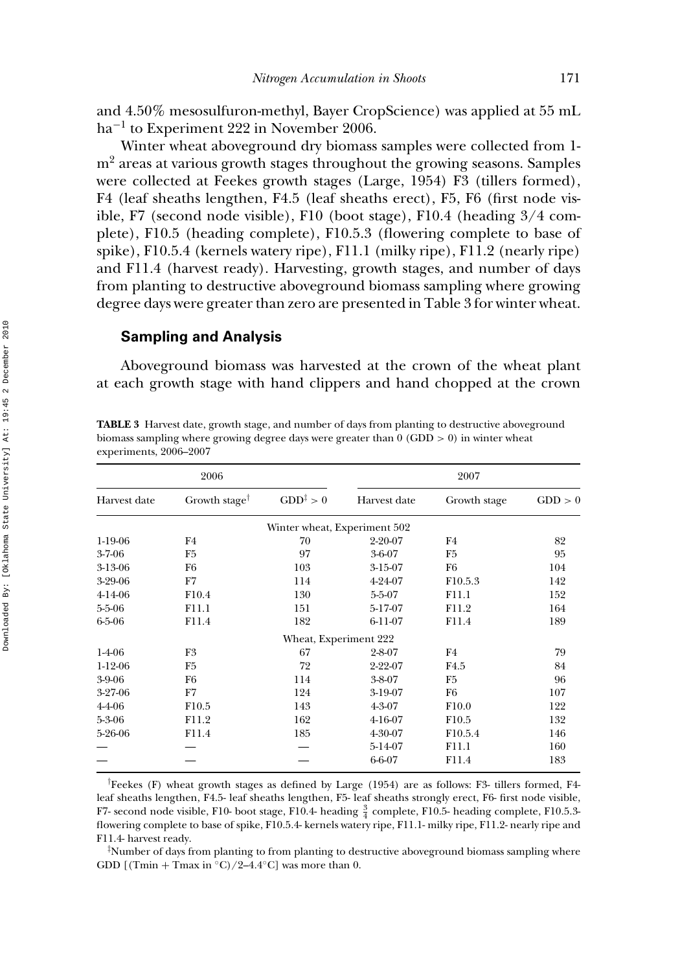and 4.50% mesosulfuron-methyl, Bayer CropScience) was applied at 55 mL ha−<sup>1</sup> to Experiment 222 in November 2006.

Winter wheat aboveground dry biomass samples were collected from 1  $m<sup>2</sup>$  areas at various growth stages throughout the growing seasons. Samples were collected at Feekes growth stages (Large, 1954) F3 (tillers formed), F4 (leaf sheaths lengthen, F4.5 (leaf sheaths erect), F5, F6 (first node visible, F7 (second node visible), F10 (boot stage), F10.4 (heading 3/4 complete), F10.5 (heading complete), F10.5.3 (flowering complete to base of spike), F10.5.4 (kernels watery ripe), F11.1 (milky ripe), F11.2 (nearly ripe) and F11.4 (harvest ready). Harvesting, growth stages, and number of days from planting to destructive aboveground biomass sampling where growing degree days were greater than zero are presented in Table 3 for winter wheat.

#### **Sampling and Analysis**

Aboveground biomass was harvested at the crown of the wheat plant at each growth stage with hand clippers and hand chopped at the crown

**TABLE 3** Harvest date, growth stage, and number of days from planting to destructive aboveground biomass sampling where growing degree days were greater than  $0$  (GDD  $> 0$ ) in winter wheat experiments, 2006–2007

|              | 2006                                                                                              |                              | 2007          |                     |         |  |  |  |  |
|--------------|---------------------------------------------------------------------------------------------------|------------------------------|---------------|---------------------|---------|--|--|--|--|
| Harvest date | Growth stage <sup><math>\uparrow</math></sup>                                                     | $GDD^{\ddagger}>0$           | Harvest date  | Growth stage        | GDD > 0 |  |  |  |  |
|              |                                                                                                   | Winter wheat, Experiment 502 |               |                     |         |  |  |  |  |
| 1-19-06      | F4                                                                                                | 70                           | 2-20-07       | F4                  | 82      |  |  |  |  |
| $3-7-06$     | F <sub>5</sub>                                                                                    | 97                           | $3 - 6 - 07$  | F5                  | 95      |  |  |  |  |
| 3-13-06      | F6                                                                                                | 103                          | 3-15-07       | F6                  | 104     |  |  |  |  |
| 3-29-06      | F7                                                                                                | 114                          | 4-24-07       | F <sub>10.5.3</sub> | 142     |  |  |  |  |
| 4-14-06      | F <sub>10.4</sub>                                                                                 | 130                          | $5 - 5 - 07$  | F11.1               | 152     |  |  |  |  |
| $5 - 5 - 06$ | F11.1                                                                                             | 151                          | 5-17-07       | F11.2               | 164     |  |  |  |  |
| $6 - 5 - 06$ | F11.4                                                                                             | 182                          | 6-11-07       | F11.4               | 189     |  |  |  |  |
|              |                                                                                                   | Wheat, Experiment 222        |               |                     |         |  |  |  |  |
| $1-4-06$     | F3                                                                                                | 67                           | $2 - 8 - 07$  | F4                  | 79      |  |  |  |  |
| $1-12-06$    | F5                                                                                                | 72                           | $2 - 22 - 07$ | F4.5                | 84      |  |  |  |  |
| 3-9-06       | F6                                                                                                | 114                          | 3-8-07        | F5                  | 96      |  |  |  |  |
| 3-27-06      | F7                                                                                                | 124                          | 3-19-07       | F6                  | 107     |  |  |  |  |
| 4-4-06       | F10.5                                                                                             | 143                          | 4-3-07        | F <sub>10.0</sub>   | 122     |  |  |  |  |
| $5 - 3 - 06$ | F11.2                                                                                             | 162                          | $4-16-07$     | F10.5               | 132     |  |  |  |  |
| 5-26-06      | F11.4                                                                                             | 185                          | 4-30-07       | F10.5.4             | 146     |  |  |  |  |
|              |                                                                                                   |                              | 5-14-07       | F11.1               | 160     |  |  |  |  |
|              |                                                                                                   |                              | 6-6-07        | F11.4               | 183     |  |  |  |  |
|              | Feekes (F) wheat growth stages as defined by Large (1954) are as follows: F3- tillers formed, F4- |                              |               |                     |         |  |  |  |  |

Feekes (F) wheat growth stages as defined by Large (1954) are as follows: F3- tillers formed, F4 leaf sheaths lengthen, F4.5- leaf sheaths lengthen, F5- leaf sheaths strongly erect, F6- first node visible, F7- second node visible, F10- boot stage, F10.4- heading  $\frac{3}{4}$  complete, F10.5- heading complete, F10.5.3flowering complete to base of spike, F10.5.4- kernels watery ripe, F11.1- milky ripe, F11.2- nearly ripe and F11.4- harvest ready.

‡ Number of days from planting to from planting to destructive aboveground biomass sampling where GDD  $[(Tmin + Tmax in °C)/2-4.4 °C]$  was more than 0.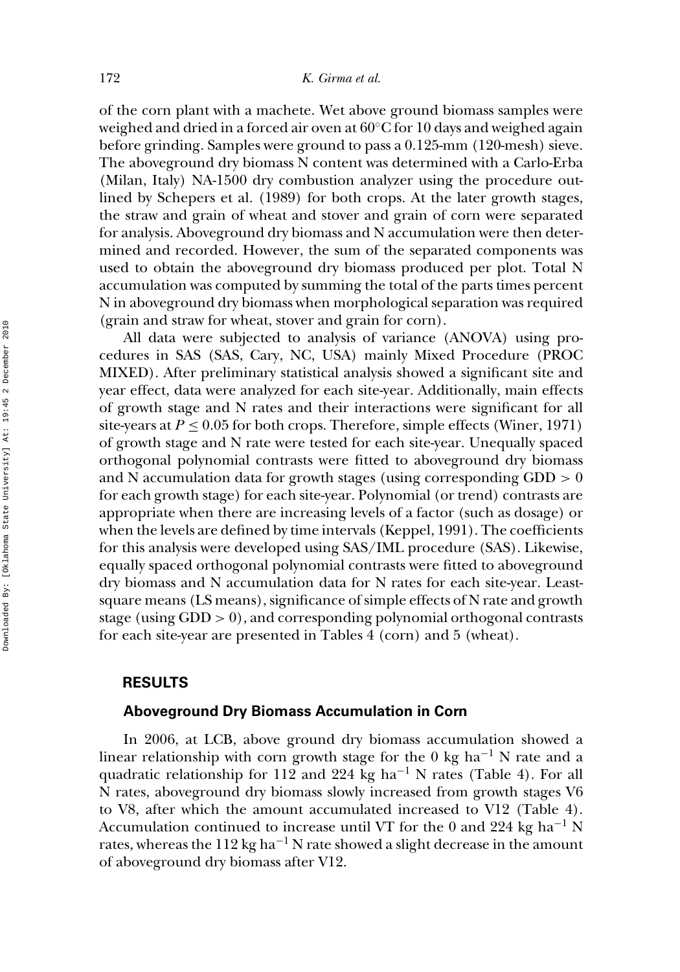of the corn plant with a machete. Wet above ground biomass samples were weighed and dried in a forced air oven at  $60^{\circ}$ C for 10 days and weighed again before grinding. Samples were ground to pass a 0.125-mm (120-mesh) sieve. The aboveground dry biomass N content was determined with a Carlo-Erba (Milan, Italy) NA-1500 dry combustion analyzer using the procedure outlined by Schepers et al. (1989) for both crops. At the later growth stages, the straw and grain of wheat and stover and grain of corn were separated for analysis. Aboveground dry biomass and N accumulation were then determined and recorded. However, the sum of the separated components was used to obtain the aboveground dry biomass produced per plot. Total N accumulation was computed by summing the total of the parts times percent N in aboveground dry biomass when morphological separation was required (grain and straw for wheat, stover and grain for corn).

All data were subjected to analysis of variance (ANOVA) using procedures in SAS (SAS, Cary, NC, USA) mainly Mixed Procedure (PROC MIXED). After preliminary statistical analysis showed a significant site and year effect, data were analyzed for each site-year. Additionally, main effects of growth stage and N rates and their interactions were significant for all site-years at  $P \leq 0.05$  for both crops. Therefore, simple effects (Winer, 1971) of growth stage and N rate were tested for each site-year. Unequally spaced orthogonal polynomial contrasts were fitted to aboveground dry biomass and N accumulation data for growth stages (using corresponding  $GDD > 0$ for each growth stage) for each site-year. Polynomial (or trend) contrasts are appropriate when there are increasing levels of a factor (such as dosage) or when the levels are defined by time intervals (Keppel, 1991). The coefficients for this analysis were developed using SAS/IML procedure (SAS). Likewise, equally spaced orthogonal polynomial contrasts were fitted to aboveground dry biomass and N accumulation data for N rates for each site-year. Leastsquare means (LS means), significance of simple effects of N rate and growth stage (using GDD > 0), and corresponding polynomial orthogonal contrasts for each site-year are presented in Tables 4 (corn) and 5 (wheat).

#### **RESULTS**

## **Aboveground Dry Biomass Accumulation in Corn**

In 2006, at LCB, above ground dry biomass accumulation showed a linear relationship with corn growth stage for the 0 kg ha<sup>-1</sup> N rate and a quadratic relationship for 112 and 224 kg ha<sup>-1</sup> N rates (Table 4). For all N rates, aboveground dry biomass slowly increased from growth stages V6 to V8, after which the amount accumulated increased to V12 (Table 4). Accumulation continued to increase until VT for the 0 and 224 kg ha<sup>-1</sup> N rates, whereas the 112 kg ha<sup> $-1$ </sup> N rate showed a slight decrease in the amount of aboveground dry biomass after V12.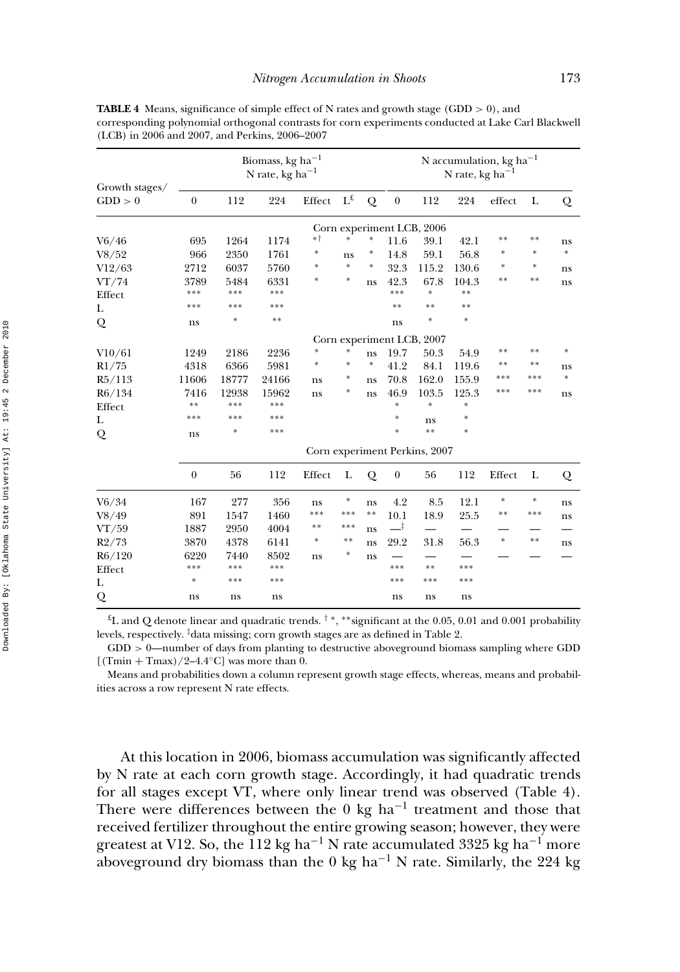|                           |                  | Biomass, kg ha <sup><math>-1</math></sup><br>N rate, kg ha $^{-1}$ |       |        |                         |        |                  |                           | N accumulation, kg ha <sup>-1</sup><br>N rate, kg ha $^{-1}$ |        |        |        |  |  |
|---------------------------|------------------|--------------------------------------------------------------------|-------|--------|-------------------------|--------|------------------|---------------------------|--------------------------------------------------------------|--------|--------|--------|--|--|
| Growth stages/<br>GDD > 0 | $\mathbf{0}$     | 112                                                                | 224   | Effect | $\Gamma_{\mathfrak{x}}$ | Q      | $\boldsymbol{0}$ | 112                       | 224                                                          | effect | L      | Q      |  |  |
|                           |                  |                                                                    |       |        |                         |        |                  | Corn experiment LCB, 2006 |                                                              |        |        |        |  |  |
| V6/46                     | 695              | 1264                                                               | 1174  | *†     | $\ast$                  | *      | 11.6             | 39.1                      | 42.1                                                         | **     | $* *$  | ns     |  |  |
| V8/52                     | 966              | 2350                                                               | 1761  | ∗      | ns                      | ∗      | 14.8             | 59.1                      | 56.8                                                         | *      | $*$    | $\ast$ |  |  |
| V12/63                    | 2712             | 6037                                                               | 5760  | *      | $\ast$                  | $\ast$ | 32.3             | 115.2                     | 130.6                                                        | *      | $\ast$ | ns     |  |  |
| VT/74                     | 3789             | 5484                                                               | 6331  | $\ast$ | *                       | ns     | 42.3             | 67.8                      | 104.3                                                        | **     | $**$   | ns     |  |  |
| Effect                    | ***              | ***                                                                | ***   |        |                         |        | ***              | ×                         | $**$                                                         |        |        |        |  |  |
| L                         | ***              | ***                                                                | ***   |        |                         |        | $**$             | $**$                      | $**$                                                         |        |        |        |  |  |
| Q                         | ns               | $\ast$                                                             | $**$  |        |                         |        | ns               | $\ast$                    | $\ast$                                                       |        |        |        |  |  |
|                           |                  | Corn experiment LCB, 2007                                          |       |        |                         |        |                  |                           |                                                              |        |        |        |  |  |
| V10/61                    | 1249             | 2186                                                               | 2236  | $*$    | *                       | ns     | 19.7             | 50.3                      | 54.9                                                         | **     | $* *$  | $\ast$ |  |  |
| R1/75                     | 4318             | 6366                                                               | 5981  | $*$    | ×.                      | $\ast$ | 41.2             | 84.1                      | 119.6                                                        | **     | $**$   | ns     |  |  |
| R5/113                    | 11606            | 18777                                                              | 24166 | ns     | *                       | ns     | 70.8             | 162.0                     | 155.9                                                        | ***    | ***    | $\ast$ |  |  |
| R6/134                    | 7416             | 12938                                                              | 15962 | ns     | *                       | ns     | 46.9             | 103.5                     | 125.3                                                        | ***    | ***    | ns     |  |  |
| Effect                    | **               | ***                                                                | ***   |        |                         |        | *                | $\ast$                    | ×                                                            |        |        |        |  |  |
| L                         | ***              | ***                                                                | ***   |        |                         |        | $*$              | ns                        | $\ast$                                                       |        |        |        |  |  |
| Q                         | ns               | $\ast$                                                             | ***   |        |                         |        | $*$              | $**$                      | $\frac{1}{26}$                                               |        |        |        |  |  |
|                           |                  | Corn experiment Perkins, 2007                                      |       |        |                         |        |                  |                           |                                                              |        |        |        |  |  |
|                           | $\boldsymbol{0}$ | 56                                                                 | 112   | Effect | L                       | Q      | $\boldsymbol{0}$ | 56                        | 112                                                          | Effect | L      | Q      |  |  |
| V6/34                     | 167              | 277                                                                | 356   | ns     | ∗                       | ns     | 4.2              | 8.5                       | 12.1                                                         | *      | $\ast$ | ns     |  |  |
| V8/49                     | 891              | 1547                                                               | 1460  | ***    | ***                     | **     | 10.1             | 18.9                      | 25.5                                                         | $**$   | ***    | ns     |  |  |
| VT/59                     | 1887             | 2950                                                               | 4004  | $* *$  | ***                     | ns     | ∸                |                           |                                                              |        |        |        |  |  |
| R2/73                     | 3870             | 4378                                                               | 6141  | $\ast$ | **                      | ns     | 29.2             | 31.8                      | 56.3                                                         | $\ast$ | $* *$  | ns     |  |  |
| R6/120                    | 6220             | 7440                                                               | 8502  | ns     | *                       | ns     |                  |                           |                                                              |        |        |        |  |  |
| Effect                    | ***              | ***                                                                | ***   |        |                         |        | ***              | $**$                      | ***                                                          |        |        |        |  |  |
| L                         | $\ast$           | ***                                                                | ***   |        |                         |        | ***              | ***                       | ***                                                          |        |        |        |  |  |
| Q                         | ns               | ns                                                                 | ns    |        |                         |        | ns               | ns                        | ns                                                           |        |        |        |  |  |

**TABLE 4** Means, significance of simple effect of N rates and growth stage (GDD > 0), and corresponding polynomial orthogonal contrasts for corn experiments conducted at Lake Carl Blackwell (LCB) in 2006 and 2007, and Perkins, 2006–2007

£L and Q denote linear and quadratic trends. † <sup>∗</sup>, ∗∗significant at the 0.05, 0.01 and 0.001 probability levels, respectively. ‡ data missing; corn growth stages are as defined in Table 2.

 $GDD > 0$ —number of days from planting to destructive aboveground biomass sampling where GDD  $[(Tmin + Tmax)/2-4.4°C]$  was more than 0.

Means and probabilities down a column represent growth stage effects, whereas, means and probabilities across a row represent N rate effects.

At this location in 2006, biomass accumulation was significantly affected by N rate at each corn growth stage. Accordingly, it had quadratic trends for all stages except VT, where only linear trend was observed (Table 4). There were differences between the 0 kg ha<sup>-1</sup> treatment and those that received fertilizer throughout the entire growing season; however, they were greatest at V12. So, the 112 kg ha<sup>-1</sup> N rate accumulated 3325 kg ha<sup>-1</sup> more aboveground dry biomass than the 0 kg ha<sup>-1</sup> N rate. Similarly, the 224 kg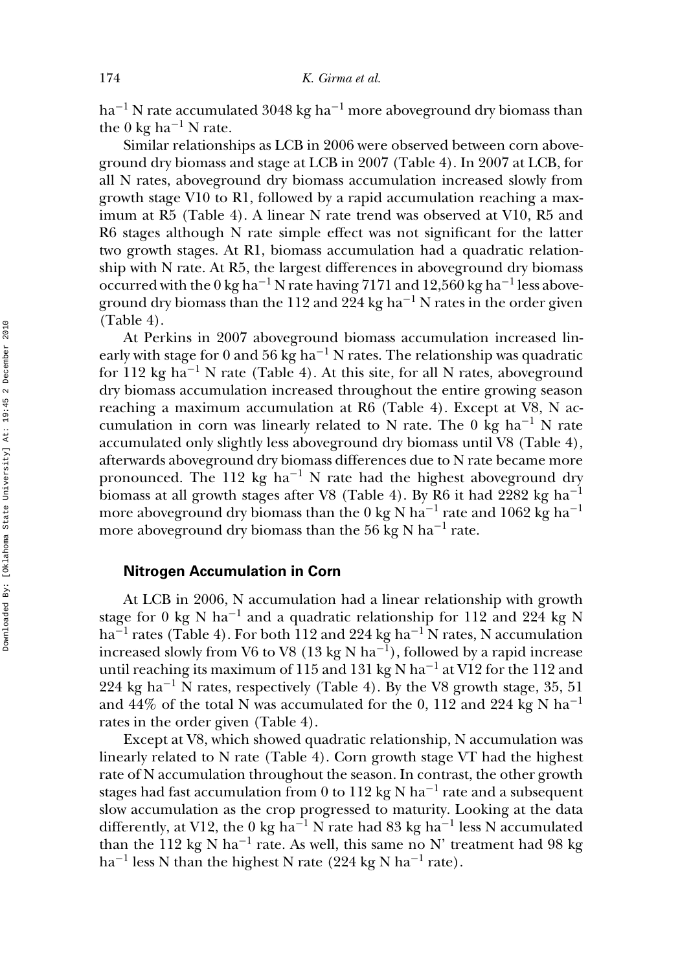ha<sup>-1</sup> N rate accumulated 3048 kg ha<sup>-1</sup> more aboveground dry biomass than the 0 kg ha<sup>-1</sup> N rate.

Similar relationships as LCB in 2006 were observed between corn aboveground dry biomass and stage at LCB in 2007 (Table 4). In 2007 at LCB, for all N rates, aboveground dry biomass accumulation increased slowly from growth stage V10 to R1, followed by a rapid accumulation reaching a maximum at R5 (Table 4). A linear N rate trend was observed at V10, R5 and R6 stages although N rate simple effect was not significant for the latter two growth stages. At R1, biomass accumulation had a quadratic relationship with N rate. At R5, the largest differences in aboveground dry biomass occurred with the 0 kg ha<sup>-1</sup> N rate having 7171 and 12,560 kg ha<sup>-1</sup> less aboveground dry biomass than the 112 and 224 kg ha<sup>-1</sup> N rates in the order given (Table 4).

At Perkins in 2007 aboveground biomass accumulation increased linearly with stage for 0 and 56 kg ha<sup>-1</sup> N rates. The relationship was quadratic for 112 kg ha−<sup>1</sup> N rate (Table 4). At this site, for all N rates, aboveground dry biomass accumulation increased throughout the entire growing season reaching a maximum accumulation at R6 (Table 4). Except at V8, N accumulation in corn was linearly related to N rate. The 0 kg ha<sup>-1</sup> N rate accumulated only slightly less aboveground dry biomass until V8 (Table 4), afterwards aboveground dry biomass differences due to N rate became more pronounced. The 112 kg ha<sup>-1</sup> N rate had the highest aboveground dry biomass at all growth stages after V8 (Table 4). By R6 it had 2282 kg ha−<sup>1</sup> more aboveground dry biomass than the 0 kg N ha<sup>-1</sup> rate and 1062 kg ha<sup>-1</sup> more aboveground dry biomass than the 56 kg N ha<sup>-1</sup> rate.

#### **Nitrogen Accumulation in Corn**

At LCB in 2006, N accumulation had a linear relationship with growth stage for 0 kg N ha<sup>-1</sup> and a quadratic relationship for 112 and 224 kg N ha<sup> $-1$ </sup> rates (Table 4). For both 112 and 224 kg ha<sup> $-1$ </sup> N rates, N accumulation increased slowly from V6 to V8 (13 kg N ha<sup>-1</sup>), followed by a rapid increase until reaching its maximum of 115 and 131 kg N ha<sup>-1</sup> at V12 for the 112 and 224 kg ha<sup>-1</sup> N rates, respectively (Table 4). By the V8 growth stage, 35, 51 and 44% of the total N was accumulated for the 0, 112 and 224 kg N ha<sup>-1</sup> rates in the order given (Table 4).

Except at V8, which showed quadratic relationship, N accumulation was linearly related to N rate (Table 4). Corn growth stage VT had the highest rate of N accumulation throughout the season. In contrast, the other growth stages had fast accumulation from 0 to 112 kg N ha<sup>-1</sup> rate and a subsequent slow accumulation as the crop progressed to maturity. Looking at the data differently, at V12, the 0 kg ha<sup>-1</sup> N rate had 83 kg ha<sup>-1</sup> less N accumulated than the 112 kg N ha<sup>-1</sup> rate. As well, this same no N' treatment had 98 kg ha<sup>-1</sup> less N than the highest N rate (224 kg N ha<sup>-1</sup> rate).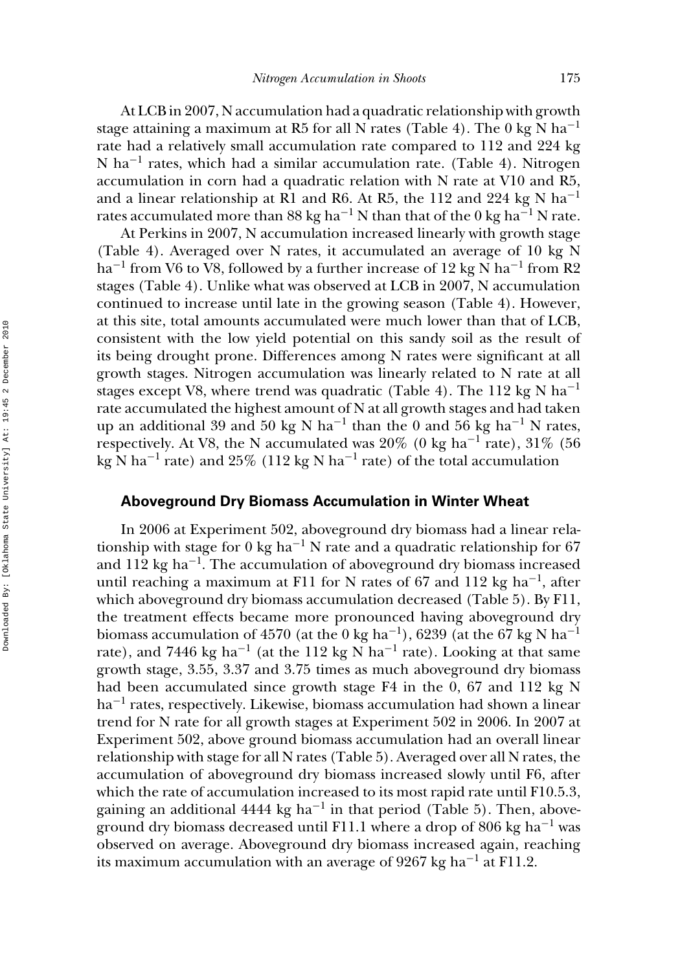At LCB in 2007, N accumulation had a quadratic relationship with growth stage attaining a maximum at R5 for all N rates (Table 4). The 0 kg N ha<sup>-1</sup> rate had a relatively small accumulation rate compared to 112 and 224 kg N ha−<sup>1</sup> rates, which had a similar accumulation rate. (Table 4). Nitrogen accumulation in corn had a quadratic relation with N rate at V10 and R5, and a linear relationship at R1 and R6. At R5, the 112 and 224 kg N ha<sup>-1</sup> rates accumulated more than 88 kg ha<sup>-1</sup> N than that of the 0 kg ha<sup>-1</sup> N rate.

At Perkins in 2007, N accumulation increased linearly with growth stage (Table 4). Averaged over N rates, it accumulated an average of 10 kg N ha<sup>-1</sup> from V6 to V8, followed by a further increase of 12 kg N ha<sup>-1</sup> from R2 stages (Table 4). Unlike what was observed at LCB in 2007, N accumulation continued to increase until late in the growing season (Table 4). However, at this site, total amounts accumulated were much lower than that of LCB, consistent with the low yield potential on this sandy soil as the result of its being drought prone. Differences among N rates were significant at all growth stages. Nitrogen accumulation was linearly related to N rate at all stages except V8, where trend was quadratic (Table 4). The 112 kg N ha<sup>-1</sup> rate accumulated the highest amount of N at all growth stages and had taken up an additional 39 and 50 kg N ha<sup>-1</sup> than the 0 and 56 kg ha<sup>-1</sup> N rates, respectively. At V8, the N accumulated was 20% (0 kg ha<sup>-1</sup> rate), 31% (56 kg N ha<sup>-1</sup> rate) and 25% (112 kg N ha<sup>-1</sup> rate) of the total accumulation

#### **Aboveground Dry Biomass Accumulation in Winter Wheat**

In 2006 at Experiment 502, aboveground dry biomass had a linear relationship with stage for 0 kg ha−<sup>1</sup> N rate and a quadratic relationship for 67 and 112 kg ha<sup> $-1$ </sup>. The accumulation of aboveground dry biomass increased until reaching a maximum at F11 for N rates of 67 and 112 kg ha<sup>-1</sup>, after which aboveground dry biomass accumulation decreased (Table 5). By F11, the treatment effects became more pronounced having aboveground dry biomass accumulation of 4570 (at the 0 kg ha<sup>-1</sup>), 6239 (at the 67 kg N ha<sup>-1</sup> rate), and 7446 kg ha<sup>-1</sup> (at the 112 kg N ha<sup>-1</sup> rate). Looking at that same growth stage, 3.55, 3.37 and 3.75 times as much aboveground dry biomass had been accumulated since growth stage F4 in the 0, 67 and 112 kg N ha−<sup>1</sup> rates, respectively. Likewise, biomass accumulation had shown a linear trend for N rate for all growth stages at Experiment 502 in 2006. In 2007 at Experiment 502, above ground biomass accumulation had an overall linear relationship with stage for all N rates (Table 5). Averaged over all N rates, the accumulation of aboveground dry biomass increased slowly until F6, after which the rate of accumulation increased to its most rapid rate until F10.5.3, gaining an additional 4444 kg ha<sup>-1</sup> in that period (Table 5). Then, aboveground dry biomass decreased until F11.1 where a drop of 806 kg ha<sup>-1</sup> was observed on average. Aboveground dry biomass increased again, reaching its maximum accumulation with an average of 9267 kg ha<sup>-1</sup> at F11.2.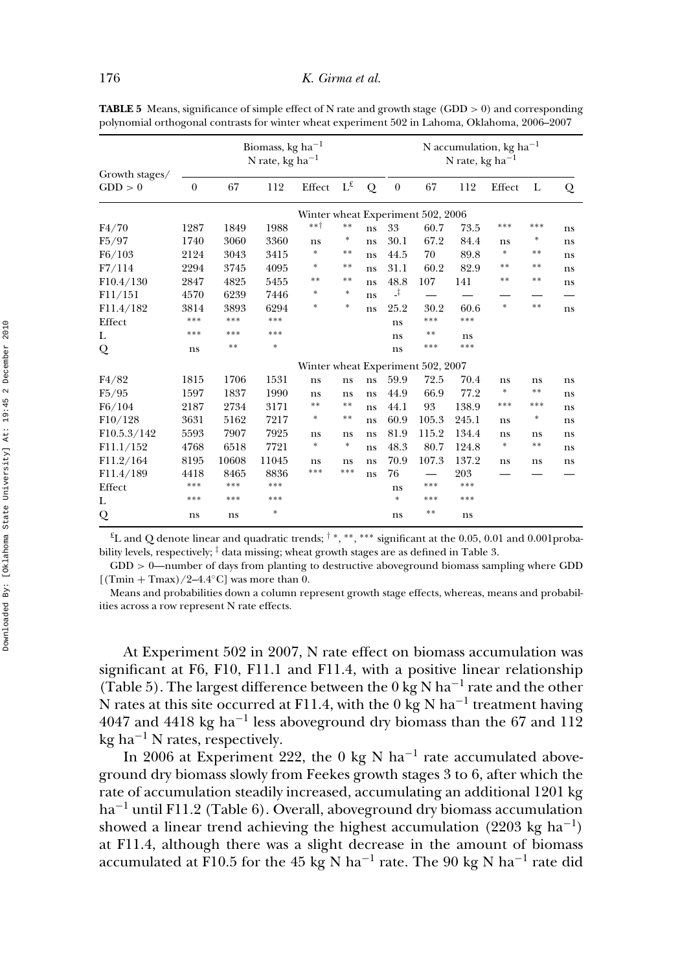|                           | Biomass, kg ha <sup><math>-1</math></sup><br>N rate, kg ha <sup>-1</sup> |       |        |                    |                         |    | N accumulation, kg ha <sup>-1</sup><br>N rate, kg ha <sup>-1</sup> |                                   |       |        |        |    |
|---------------------------|--------------------------------------------------------------------------|-------|--------|--------------------|-------------------------|----|--------------------------------------------------------------------|-----------------------------------|-------|--------|--------|----|
| Growth stages/<br>GDD > 0 | $\theta$                                                                 | 67    | 112    | Effect             | $\Gamma_{\mathfrak{T}}$ | Q  | $\theta$                                                           | 67                                | 112   | Effect | L      | Q  |
|                           | Winter wheat Experiment 502, 2006                                        |       |        |                    |                         |    |                                                                    |                                   |       |        |        |    |
| F4/70                     | 1287                                                                     | 1849  | 1988   | $***$ <sup>+</sup> | $* *$                   | ns | 33                                                                 | 60.7                              | 73.5  | ***    | ***    | ns |
| F5/97                     | 1740                                                                     | 3060  | 3360   | ns                 | *                       | ns | 30.1                                                               | 67.2                              | 84.4  | ns     | $\ast$ | ns |
| F6/103                    | 2124                                                                     | 3043  | 3415   | $\ast$             | $* *$                   | ns | 44.5                                                               | 70                                | 89.8  | $\ast$ | **     | ns |
| F7/114                    | 2294                                                                     | 3745  | 4095   | *                  | $* *$                   | ns | 31.1                                                               | 60.2                              | 82.9  | **     | $**$   | ns |
| F10.4/130                 | 2847                                                                     | 4825  | 5455   | **                 | $* *$                   | ns | 48.8                                                               | 107                               | 141   | **     | **     | ns |
| F11/151                   | 4570                                                                     | 6239  | 7446   | *                  | *                       | ns | J.                                                                 |                                   |       |        |        |    |
| F11.4/182                 | 3814                                                                     | 3893  | 6294   | *                  | $\ast$                  | ns | 25.2                                                               | 30.2                              | 60.6  | $\ast$ | $* *$  | ns |
| Effect                    | ***                                                                      | ***   | ***    |                    |                         |    | ns                                                                 | ***                               | ***   |        |        |    |
| L                         | ***                                                                      | ***   | ***    |                    |                         |    | ns                                                                 | $* *$                             | ns    |        |        |    |
| Q                         | ns                                                                       | **    | $\ast$ |                    |                         |    | ns                                                                 | ***                               | ***   |        |        |    |
|                           |                                                                          |       |        |                    |                         |    |                                                                    | Winter wheat Experiment 502, 2007 |       |        |        |    |
| F4/82                     | 1815                                                                     | 1706  | 1531   | ns                 | ns                      | ns | 59.9                                                               | 72.5                              | 70.4  | ns     | ns     | ns |
| F5/95                     | 1597                                                                     | 1837  | 1990   | ns                 | ns                      | ns | 44.9                                                               | 66.9                              | 77.2  | $\ast$ | $* *$  | ns |
| F6/104                    | 2187                                                                     | 2734  | 3171   | $* *$              | $* *$                   | ns | 44.1                                                               | 93                                | 138.9 | ***    | ***    | ns |
| F10/128                   | 3631                                                                     | 5162  | 7217   | *                  | $* *$                   | ns | 60.9                                                               | 105.3                             | 245.1 | ns     | $\ast$ | ns |
| F10.5.3/142               | 5593                                                                     | 7907  | 7925   | ns                 | ns                      | ns | 81.9                                                               | 115.2                             | 134.4 | ns     | ns     | ns |
| F11.1/152                 | 4768                                                                     | 6518  | 7721   | $\ast$             | $\ast$                  | ns | 48.3                                                               | 80.7                              | 124.8 | $\ast$ | $* *$  | ns |
| F11.2/164                 | 8195                                                                     | 10608 | 11045  | ns                 | ns                      | ns | 70.9                                                               | 107.3                             | 137.2 | ns     | ns     | ns |
| F11.4/189                 | 4418                                                                     | 8465  | 8836   | ***                | $***$                   | ns | 76                                                                 |                                   | 203   |        |        |    |
| Effect                    | ***                                                                      | ***   | ***    |                    |                         |    | ns                                                                 | ***                               | ***   |        |        |    |
| L                         | ***                                                                      | ***   | ***    |                    |                         |    | $\ast$                                                             | ***                               | ***   |        |        |    |
| Q                         | ns                                                                       | ns    | $\ast$ |                    |                         |    | ns                                                                 | $* *$                             | ns    |        |        |    |

**TABLE 5** Means, significance of simple effect of N rate and growth stage (GDD  $> 0$ ) and corresponding polynomial orthogonal contrasts for winter wheat experiment 502 in Lahoma, Oklahoma, 2006–2007

£L and Q denote linear and quadratic trends; † <sup>∗</sup>, ∗∗, ∗∗∗ significant at the 0.05, 0.01 and 0.001probability levels, respectively;  $\frac{1}{7}$  data missing; wheat growth stages are as defined in Table 3.

 $GDD > 0$ —number of days from planting to destructive aboveground biomass sampling where GDD  $[(Tmin + Tmax)/2-4.4°C]$  was more than 0.

Means and probabilities down a column represent growth stage effects, whereas, means and probabilities across a row represent N rate effects.

At Experiment 502 in 2007, N rate effect on biomass accumulation was significant at F6, F10, F11.1 and F11.4, with a positive linear relationship (Table 5). The largest difference between the 0 kg N ha<sup>-1</sup> rate and the other N rates at this site occurred at F11.4, with the 0 kg N ha<sup>-1</sup> treatment having 4047 and 4418 kg ha<sup>-1</sup> less aboveground dry biomass than the 67 and 112  $kg$  ha<sup>-1</sup> N rates, respectively.

In 2006 at Experiment 222, the 0 kg N ha<sup>-1</sup> rate accumulated aboveground dry biomass slowly from Feekes growth stages 3 to 6, after which the rate of accumulation steadily increased, accumulating an additional 1201 kg ha−<sup>1</sup> until F11.2 (Table 6). Overall, aboveground dry biomass accumulation showed a linear trend achieving the highest accumulation (2203 kg ha<sup>-1</sup>) at F11.4, although there was a slight decrease in the amount of biomass accumulated at F10.5 for the 45 kg N ha<sup>-1</sup> rate. The 90 kg N ha<sup>-1</sup> rate did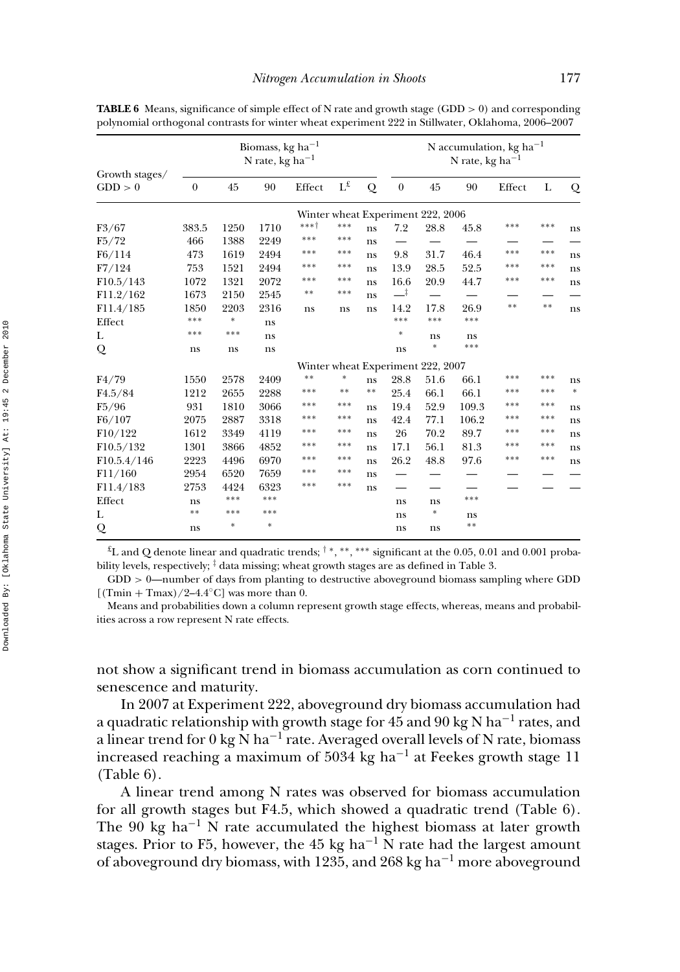|                                  | Biomass, kg ha <sup><math>-1</math></sup><br>N rate, kg ha <sup>-1</sup> |        |               |                    |                         |       |          | N accumulation, kg ha <sup>-1</sup><br>N rate, kg ha <sup>-1</sup> |       |        |       |        |  |
|----------------------------------|--------------------------------------------------------------------------|--------|---------------|--------------------|-------------------------|-------|----------|--------------------------------------------------------------------|-------|--------|-------|--------|--|
| Growth stages/<br>GDD > 0        | $\theta$                                                                 | 45     | 90            | Effect             | $\Gamma_{\mathfrak{x}}$ | Q     | $\theta$ | 45                                                                 | 90    | Effect | L     | Q      |  |
|                                  |                                                                          |        |               |                    |                         |       |          | Winter wheat Experiment 222, 2006                                  |       |        |       |        |  |
| F3/67                            | 383.5                                                                    | 1250   | 1710          | $***$ <sup>+</sup> | ***                     | ns    | 7.2      | 28.8                                                               | 45.8  | ***    | ***   | ns     |  |
| F5/72                            | 466                                                                      | 1388   | 2249          | ***                | ***                     | ns    |          |                                                                    |       |        |       |        |  |
| F6/114                           | 473                                                                      | 1619   | 2494          | ***                | ***                     | ns    | 9.8      | 31.7                                                               | 46.4  | ***    | ***   | ns     |  |
| F7/124                           | 753                                                                      | 1521   | 2494          | ***                | ***                     | ns    | 13.9     | 28.5                                                               | 52.5  | ***    | ***   | ns     |  |
| F10.5/143                        | 1072                                                                     | 1321   | 2072          | ***                | ***                     | ns    | 16.6     | 20.9                                                               | 44.7  | ***    | ***   | ns     |  |
| F11.2/162                        | 1673                                                                     | 2150   | 2545          | $* *$              | ***                     | ns    | ᆣ        |                                                                    |       |        |       |        |  |
| F11.4/185                        | 1850                                                                     | 2203   | 2316          | ns                 | ns                      | ns    | 14.2     | 17.8                                                               | 26.9  | **     | $* *$ | ns     |  |
| Effect                           | ***                                                                      | $\ast$ | ns            |                    |                         |       | ***      | ***                                                                | ***   |        |       |        |  |
| L                                | ***                                                                      | ***    | ns            |                    |                         |       | *        | ns                                                                 | ns    |        |       |        |  |
| Q                                | ns                                                                       | ns     | ns            |                    |                         |       | ns       | $\ast$                                                             | ***   |        |       |        |  |
|                                  |                                                                          |        |               |                    |                         |       |          | Winter wheat Experiment 222, 2007                                  |       |        |       |        |  |
| F4/79                            | 1550                                                                     | 2578   | 2409          | $**$               | *                       | ns    | 28.8     | 51.6                                                               | 66.1  | ***    | ***   | ns     |  |
| F <sub>4.5</sub> /8 <sub>4</sub> | 1212                                                                     | 2655   | 2288          | ***                | $* *$                   | $* *$ | 25.4     | 66.1                                                               | 66.1  | ***    | ***   | $\ast$ |  |
| F5/96                            | 931                                                                      | 1810   | 3066          | ***                | ***                     | ns    | 19.4     | 52.9                                                               | 109.3 | ***    | ***   | ns     |  |
| F6/107                           | 2075                                                                     | 2887   | 3318          | ***                | ***                     | ns    | 42.4     | 77.1                                                               | 106.2 | ***    | ***   | ns     |  |
| F10/122                          | 1612                                                                     | 3349   | 4119          | ***                | ***                     | ns    | 26       | 70.2                                                               | 89.7  | ***    | ***   | ns     |  |
| F10.5/132                        | 1301                                                                     | 3866   | 4852          | ***                | ***                     | ns    | 17.1     | 56.1                                                               | 81.3  | ***    | ***   | ns     |  |
| F10.5.4/146                      | 2223                                                                     | 4496   | 6970          | ***                | ***                     | ns    | 26.2     | 48.8                                                               | 97.6  | ***    | ***   | ns     |  |
| F11/160                          | 2954                                                                     | 6520   | 7659          | ***                | ***                     | ns    |          |                                                                    |       |        |       |        |  |
| F11.4/183                        | 2753                                                                     | 4424   | 6323          | ***                | ***                     | ns    |          |                                                                    |       |        |       |        |  |
| Effect                           | ns                                                                       | ***    | ***           |                    |                         |       | ns       | ns                                                                 | ***   |        |       |        |  |
| L                                | $* *$                                                                    | ***    | ***           |                    |                         |       | ns       | *                                                                  | ns    |        |       |        |  |
| Q                                | ns                                                                       | $\ast$ | $\frac{1}{2}$ |                    |                         |       | ns       | ns                                                                 | **    |        |       |        |  |

**TABLE 6** Means, significance of simple effect of N rate and growth stage (GDD > 0) and corresponding polynomial orthogonal contrasts for winter wheat experiment 222 in Stillwater, Oklahoma, 2006–2007

 $^{4}$ L and Q denote linear and quadratic trends;  $^{\dagger}$  \*, \*\*, \*\*\* significant at the 0.05, 0.01 and 0.001 probability levels, respectively;  $\frac{1}{4}$  data missing; wheat growth stages are as defined in Table 3.

 $GDD > 0$ —number of days from planting to destructive aboveground biomass sampling where GDD  $[(Tmin + Tmax)/2-4.4°C]$  was more than 0.

Means and probabilities down a column represent growth stage effects, whereas, means and probabilities across a row represent N rate effects.

not show a significant trend in biomass accumulation as corn continued to senescence and maturity.

In 2007 at Experiment 222, aboveground dry biomass accumulation had a quadratic relationship with growth stage for 45 and 90 kg N ha<sup>-1</sup> rates, and a linear trend for 0 kg N ha<sup>-1</sup> rate. Averaged overall levels of N rate, biomass increased reaching a maximum of 5034 kg ha<sup> $-1$ </sup> at Feekes growth stage 11 (Table 6).

A linear trend among N rates was observed for biomass accumulation for all growth stages but F4.5, which showed a quadratic trend (Table 6). The 90 kg ha<sup>-1</sup> N rate accumulated the highest biomass at later growth stages. Prior to F5, however, the 45 kg ha<sup> $-1$ </sup> N rate had the largest amount of aboveground dry biomass, with 1235, and 268 kg ha−<sup>1</sup> more aboveground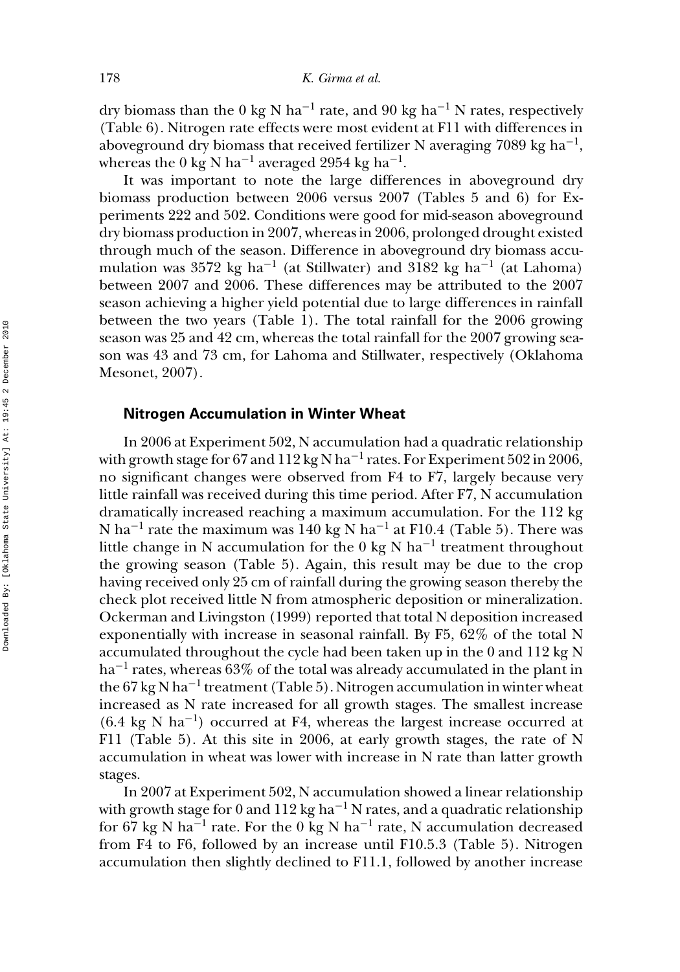dry biomass than the 0 kg N ha<sup>-1</sup> rate, and 90 kg ha<sup>-1</sup> N rates, respectively (Table 6). Nitrogen rate effects were most evident at F11 with differences in aboveground dry biomass that received fertilizer N averaging 7089 kg ha<sup>-1</sup>, whereas the 0 kg N ha<sup>-1</sup> averaged 2954 kg ha<sup>-1</sup>.

It was important to note the large differences in aboveground dry biomass production between 2006 versus 2007 (Tables 5 and 6) for Experiments 222 and 502. Conditions were good for mid-season aboveground dry biomass production in 2007, whereas in 2006, prolonged drought existed through much of the season. Difference in aboveground dry biomass accumulation was 3572 kg ha<sup>-1</sup> (at Stillwater) and 3182 kg ha<sup>-1</sup> (at Lahoma) between 2007 and 2006. These differences may be attributed to the 2007 season achieving a higher yield potential due to large differences in rainfall between the two years (Table 1). The total rainfall for the 2006 growing season was 25 and 42 cm, whereas the total rainfall for the 2007 growing season was 43 and 73 cm, for Lahoma and Stillwater, respectively (Oklahoma Mesonet, 2007).

#### **Nitrogen Accumulation in Winter Wheat**

In 2006 at Experiment 502, N accumulation had a quadratic relationship with growth stage for 67 and 112 kg N ha<sup>-1</sup> rates. For Experiment 502 in 2006, no significant changes were observed from F4 to F7, largely because very little rainfall was received during this time period. After F7, N accumulation dramatically increased reaching a maximum accumulation. For the 112 kg N ha<sup>-1</sup> rate the maximum was 140 kg N ha<sup>-1</sup> at F10.4 (Table 5). There was little change in N accumulation for the 0 kg N ha<sup>-1</sup> treatment throughout the growing season (Table 5). Again, this result may be due to the crop having received only 25 cm of rainfall during the growing season thereby the check plot received little N from atmospheric deposition or mineralization. Ockerman and Livingston (1999) reported that total N deposition increased exponentially with increase in seasonal rainfall. By F5, 62% of the total N accumulated throughout the cycle had been taken up in the 0 and 112 kg N ha<sup>-1</sup> rates, whereas 63% of the total was already accumulated in the plant in the 67 kg N ha<sup>-1</sup> treatment (Table 5). Nitrogen accumulation in winter wheat increased as N rate increased for all growth stages. The smallest increase  $(6.4 \text{ kg N} \text{ ha}^{-1})$  occurred at F4, whereas the largest increase occurred at F11 (Table 5). At this site in 2006, at early growth stages, the rate of N accumulation in wheat was lower with increase in N rate than latter growth stages.

In 2007 at Experiment 502, N accumulation showed a linear relationship with growth stage for 0 and 112 kg ha<sup>-1</sup> N rates, and a quadratic relationship for 67 kg N ha<sup>-1</sup> rate. For the 0 kg N ha<sup>-1</sup> rate, N accumulation decreased from F4 to F6, followed by an increase until F10.5.3 (Table 5). Nitrogen accumulation then slightly declined to F11.1, followed by another increase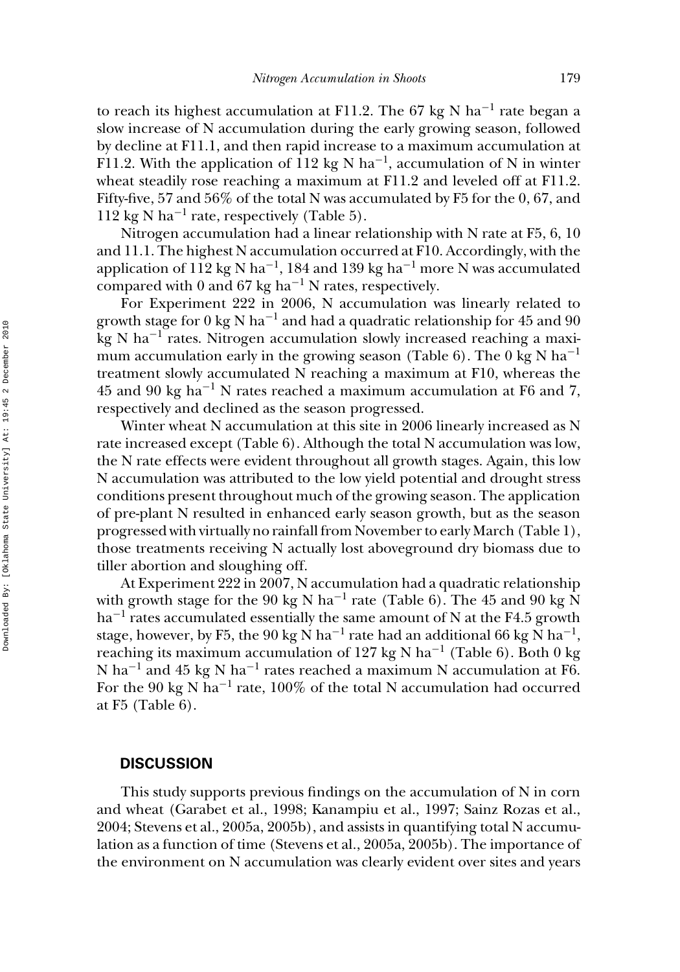to reach its highest accumulation at F11.2. The 67 kg N ha<sup>-1</sup> rate began a slow increase of N accumulation during the early growing season, followed by decline at F11.1, and then rapid increase to a maximum accumulation at F11.2. With the application of 112 kg N ha<sup>-1</sup>, accumulation of N in winter wheat steadily rose reaching a maximum at F11.2 and leveled off at F11.2. Fifty-five, 57 and 56% of the total N was accumulated by F5 for the 0, 67, and 112 kg N ha<sup>-1</sup> rate, respectively (Table 5).

Nitrogen accumulation had a linear relationship with N rate at F5, 6, 10 and 11.1. The highest N accumulation occurred at F10. Accordingly, with the application of 112 kg N ha<sup>-1</sup>, 184 and 139 kg ha<sup>-1</sup> more N was accumulated compared with 0 and 67 kg ha<sup> $-1$ </sup> N rates, respectively.

For Experiment 222 in 2006, N accumulation was linearly related to growth stage for  $0 \text{ kg N ha}^{-1}$  and had a quadratic relationship for 45 and 90 kg N ha−<sup>1</sup> rates. Nitrogen accumulation slowly increased reaching a maximum accumulation early in the growing season (Table 6). The 0 kg N ha<sup>-1</sup> treatment slowly accumulated N reaching a maximum at F10, whereas the  $45$  and 90 kg ha<sup>-1</sup> N rates reached a maximum accumulation at F6 and 7, respectively and declined as the season progressed.

Winter wheat N accumulation at this site in 2006 linearly increased as N rate increased except (Table 6). Although the total N accumulation was low, the N rate effects were evident throughout all growth stages. Again, this low N accumulation was attributed to the low yield potential and drought stress conditions present throughout much of the growing season. The application of pre-plant N resulted in enhanced early season growth, but as the season progressed with virtually no rainfall from November to early March (Table 1), those treatments receiving N actually lost aboveground dry biomass due to tiller abortion and sloughing off.

At Experiment 222 in 2007, N accumulation had a quadratic relationship with growth stage for the 90 kg N ha<sup>-1</sup> rate (Table 6). The 45 and 90 kg N  $ha^{-1}$  rates accumulated essentially the same amount of N at the F4.5 growth stage, however, by F5, the 90 kg N ha<sup>-1</sup> rate had an additional 66 kg N ha<sup>-1</sup>, reaching its maximum accumulation of 127 kg N ha<sup>-1</sup> (Table 6). Both 0 kg N ha−<sup>1</sup> and 45 kg N ha−<sup>1</sup> rates reached a maximum N accumulation at F6. For the 90 kg N ha<sup>-1</sup> rate, 100% of the total N accumulation had occurred at F5 (Table 6).

#### **DISCUSSION**

This study supports previous findings on the accumulation of N in corn and wheat (Garabet et al., 1998; Kanampiu et al., 1997; Sainz Rozas et al., 2004; Stevens et al., 2005a, 2005b), and assists in quantifying total N accumulation as a function of time (Stevens et al., 2005a, 2005b). The importance of the environment on N accumulation was clearly evident over sites and years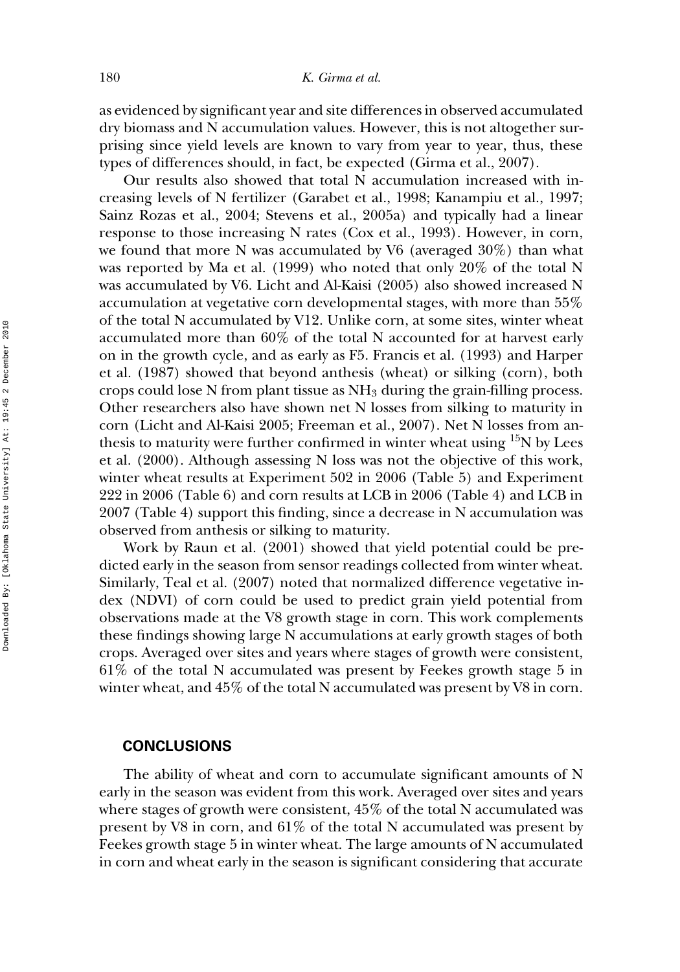as evidenced by significant year and site differences in observed accumulated dry biomass and N accumulation values. However, this is not altogether surprising since yield levels are known to vary from year to year, thus, these types of differences should, in fact, be expected (Girma et al., 2007).

Our results also showed that total N accumulation increased with increasing levels of N fertilizer (Garabet et al., 1998; Kanampiu et al., 1997; Sainz Rozas et al., 2004; Stevens et al., 2005a) and typically had a linear response to those increasing N rates (Cox et al., 1993). However, in corn, we found that more N was accumulated by V6 (averaged 30%) than what was reported by Ma et al. (1999) who noted that only 20% of the total N was accumulated by V6. Licht and Al-Kaisi (2005) also showed increased N accumulation at vegetative corn developmental stages, with more than 55% of the total N accumulated by V12. Unlike corn, at some sites, winter wheat accumulated more than 60% of the total N accounted for at harvest early on in the growth cycle, and as early as F5. Francis et al. (1993) and Harper et al. (1987) showed that beyond anthesis (wheat) or silking (corn), both crops could lose N from plant tissue as  $NH<sub>3</sub>$  during the grain-filling process. Other researchers also have shown net N losses from silking to maturity in corn (Licht and Al-Kaisi 2005; Freeman et al., 2007). Net N losses from anthesis to maturity were further confirmed in winter wheat using  $\rm ^{15}N$  by Lees et al. (2000). Although assessing N loss was not the objective of this work, winter wheat results at Experiment 502 in 2006 (Table 5) and Experiment 222 in 2006 (Table 6) and corn results at LCB in 2006 (Table 4) and LCB in 2007 (Table 4) support this finding, since a decrease in N accumulation was observed from anthesis or silking to maturity.

Work by Raun et al. (2001) showed that yield potential could be predicted early in the season from sensor readings collected from winter wheat. Similarly, Teal et al. (2007) noted that normalized difference vegetative index (NDVI) of corn could be used to predict grain yield potential from observations made at the V8 growth stage in corn. This work complements these findings showing large N accumulations at early growth stages of both crops. Averaged over sites and years where stages of growth were consistent, 61% of the total N accumulated was present by Feekes growth stage 5 in winter wheat, and 45% of the total N accumulated was present by V8 in corn.

#### **CONCLUSIONS**

The ability of wheat and corn to accumulate significant amounts of N early in the season was evident from this work. Averaged over sites and years where stages of growth were consistent, 45% of the total N accumulated was present by V8 in corn, and 61% of the total N accumulated was present by Feekes growth stage 5 in winter wheat. The large amounts of N accumulated in corn and wheat early in the season is significant considering that accurate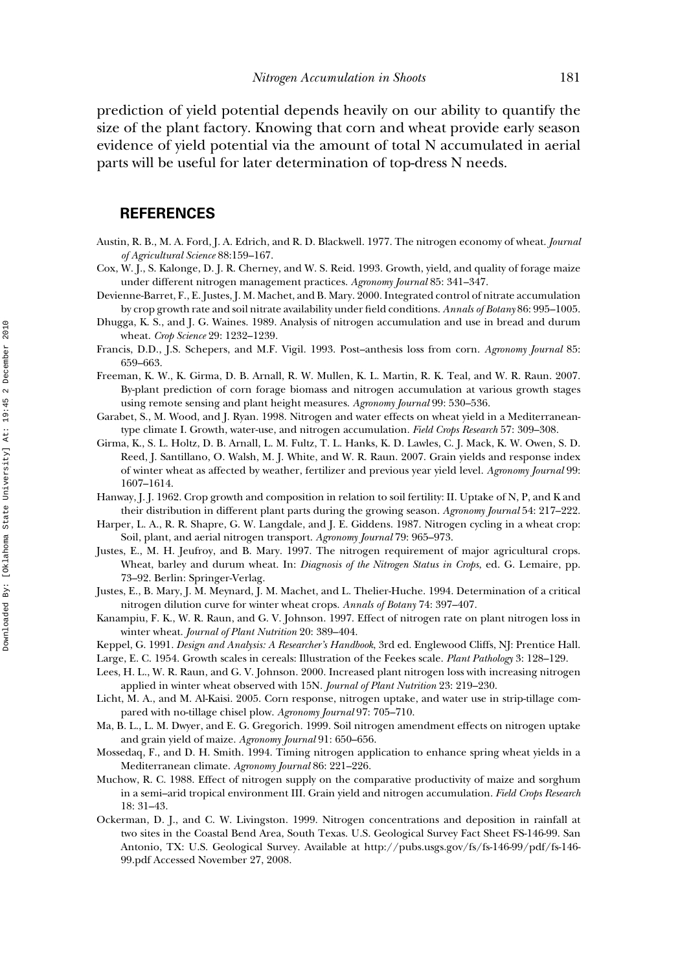prediction of yield potential depends heavily on our ability to quantify the size of the plant factory. Knowing that corn and wheat provide early season evidence of yield potential via the amount of total N accumulated in aerial parts will be useful for later determination of top-dress N needs.

## **REFERENCES**

- Austin, R. B., M. A. Ford, J. A. Edrich, and R. D. Blackwell. 1977. The nitrogen economy of wheat. *Journal of Agricultural Science* 88:159–167.
- Cox, W. J., S. Kalonge, D. J. R. Cherney, and W. S. Reid. 1993. Growth, yield, and quality of forage maize under different nitrogen management practices. *Agronomy Journal* 85: 341–347.
- Devienne-Barret, F., E. Justes, J. M. Machet, and B. Mary. 2000. Integrated control of nitrate accumulation by crop growth rate and soil nitrate availability under field conditions. *Annals of Botany* 86: 995–1005.
- Dhugga, K. S., and J. G. Waines. 1989. Analysis of nitrogen accumulation and use in bread and durum wheat. *Crop Science* 29: 1232–1239.
- Francis, D.D., J.S. Schepers, and M.F. Vigil. 1993. Post–anthesis loss from corn. *Agronomy Journal* 85: 659–663.
- Freeman, K. W., K. Girma, D. B. Arnall, R. W. Mullen, K. L. Martin, R. K. Teal, and W. R. Raun. 2007. By-plant prediction of corn forage biomass and nitrogen accumulation at various growth stages using remote sensing and plant height measures. *Agronomy Journal* 99: 530–536.
- Garabet, S., M. Wood, and J. Ryan. 1998. Nitrogen and water effects on wheat yield in a Mediterraneantype climate I. Growth, water-use, and nitrogen accumulation. *Field Crops Research* 57: 309–308.
- Girma, K., S. L. Holtz, D. B. Arnall, L. M. Fultz, T. L. Hanks, K. D. Lawles, C. J. Mack, K. W. Owen, S. D. Reed, J. Santillano, O. Walsh, M. J. White, and W. R. Raun. 2007. Grain yields and response index of winter wheat as affected by weather, fertilizer and previous year yield level. *Agronomy Journal* 99: 1607–1614.
- Hanway, J. J. 1962. Crop growth and composition in relation to soil fertility: II. Uptake of N, P, and K and their distribution in different plant parts during the growing season. *Agronomy Journal* 54: 217–222.
- Harper, L. A., R. R. Shapre, G. W. Langdale, and J. E. Giddens. 1987. Nitrogen cycling in a wheat crop: Soil, plant, and aerial nitrogen transport. *Agronomy Journal* 79: 965–973.
- Justes, E., M. H. Jeufroy, and B. Mary. 1997. The nitrogen requirement of major agricultural crops. Wheat, barley and durum wheat. In: *Diagnosis of the Nitrogen Status in Crops*, ed. G. Lemaire, pp. 73–92. Berlin: Springer-Verlag.
- Justes, E., B. Mary, J. M. Meynard, J. M. Machet, and L. Thelier-Huche. 1994. Determination of a critical nitrogen dilution curve for winter wheat crops. *Annals of Botany* 74: 397–407.
- Kanampiu, F. K., W. R. Raun, and G. V. Johnson. 1997. Effect of nitrogen rate on plant nitrogen loss in winter wheat. *Journal of Plant Nutrition* 20: 389–404.
- Keppel, G. 1991. *Design and Analysis: A Researcher's Handbook*, 3rd ed. Englewood Cliffs, NJ: Prentice Hall.
- Large, E. C. 1954. Growth scales in cereals: Illustration of the Feekes scale. *Plant Pathology* 3: 128–129.
- Lees, H. L., W. R. Raun, and G. V. Johnson. 2000. Increased plant nitrogen loss with increasing nitrogen applied in winter wheat observed with 15N. *Journal of Plant Nutrition* 23: 219–230.
- Licht, M. A., and M. Al-Kaisi. 2005. Corn response, nitrogen uptake, and water use in strip-tillage compared with no-tillage chisel plow. *Agronomy Journal* 97: 705–710.
- Ma, B. L., L. M. Dwyer, and E. G. Gregorich. 1999. Soil nitrogen amendment effects on nitrogen uptake and grain yield of maize. *Agronomy Journal* 91: 650–656.
- Mossedaq, F., and D. H. Smith. 1994. Timing nitrogen application to enhance spring wheat yields in a Mediterranean climate. *Agronomy Journal* 86: 221–226.
- Muchow, R. C. 1988. Effect of nitrogen supply on the comparative productivity of maize and sorghum in a semi–arid tropical environment III. Grain yield and nitrogen accumulation. *Field Crops Research* 18: 31–43.
- Ockerman, D. J., and C. W. Livingston. 1999. Nitrogen concentrations and deposition in rainfall at two sites in the Coastal Bend Area, South Texas. U.S. Geological Survey Fact Sheet FS-146-99. San Antonio, TX: U.S. Geological Survey. Available at http://pubs.usgs.gov/fs/fs-146-99/pdf/fs-146- 99.pdf Accessed November 27, 2008.